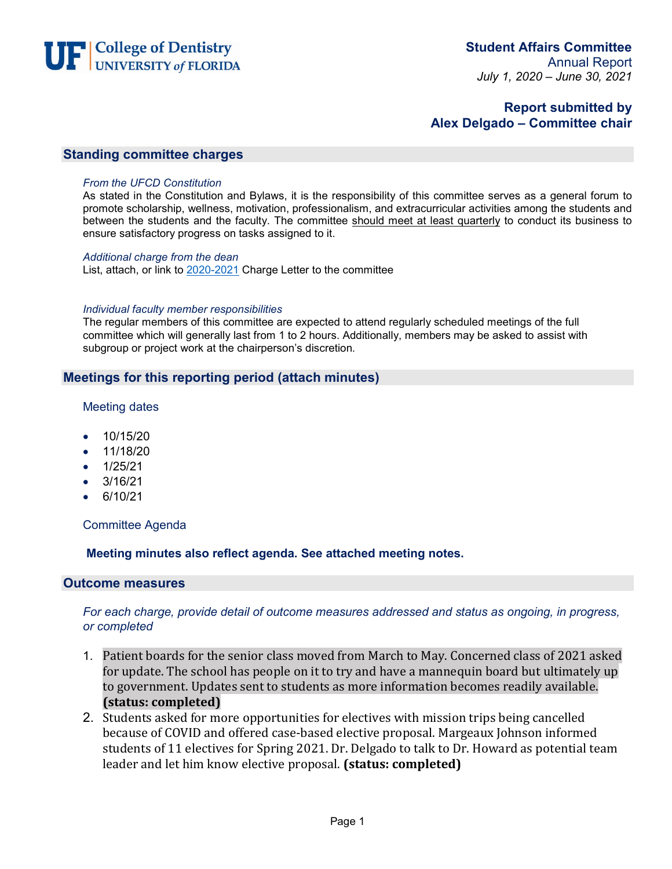

# **Report submitted by Alex Delgado – Committee chair**

## **Standing committee charges**

#### *From the UFCD Constitution*

As stated in the Constitution and Bylaws, it is the responsibility of this committee serves as a general forum to promote scholarship, wellness, motivation, professionalism, and extracurricular activities among the students and between the students and the faculty. The committee should meet at least quarterly to conduct its business to ensure satisfactory progress on tasks assigned to it.

#### *Additional charge from the dean*

List, attach, or link to 2020-2021 Charge Letter to the committee

#### *Individual faculty member responsibilities*

The regular members of this committee are expected to attend regularly scheduled meetings of the full committee which will generally last from 1 to 2 hours. Additionally, members may be asked to assist with subgroup or project work at the chairperson's discretion*.*

## **Meetings for this reporting period (attach minutes)**

#### Meeting dates

- 10/15/20
- 11/18/20
- 1/25/21
- $\bullet$  3/16/21
- 6/10/21

### Committee Agenda

### **Meeting minutes also reflect agenda. See attached meeting notes.**

#### **Outcome measures**

### *For each charge, provide detail of outcome measures addressed and status as ongoing, in progress, or completed*

- 1. Patient boards for the senior class moved from March to May. Concerned class of 2021 asked for update. The school has people on it to try and have a mannequin board but ultimately up to government. Updates sent to students as more information becomes readily available. **(status: completed)**
- 2. Students asked for more opportunities for electives with mission trips being cancelled because of COVID and offered case-based elective proposal. Margeaux Johnson informed students of 11 electives for Spring 2021. Dr. Delgado to talk to Dr. Howard as potential team leader and let him know elective proposal. **(status: completed)**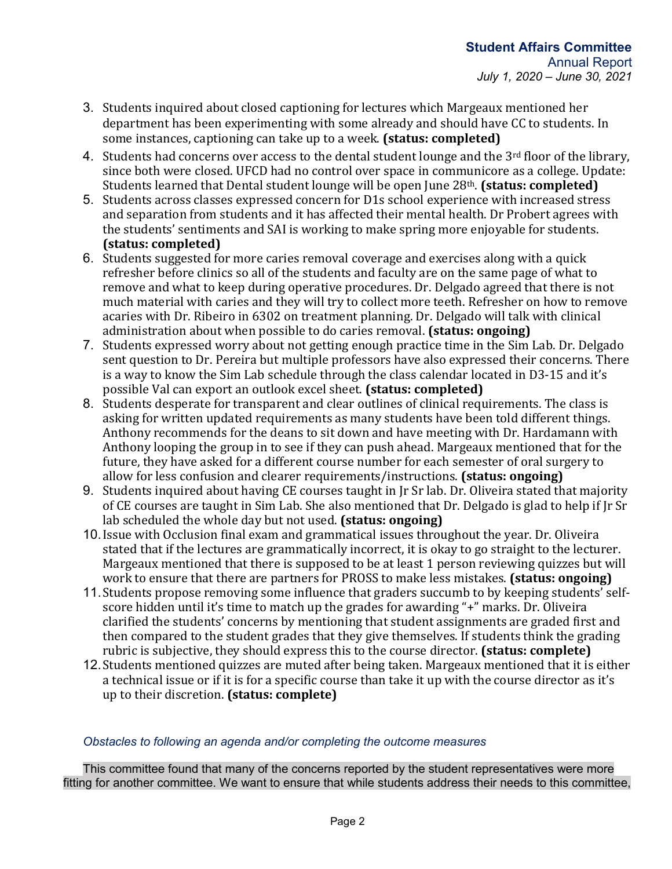- 3. Students inquired about closed captioning for lectures which Margeaux mentioned her department has been experimenting with some already and should have CC to students. In some instances, captioning can take up to a week. **(status: completed)**
- 4. Students had concerns over access to the dental student lounge and the 3<sup>rd</sup> floor of the library, since both were closed. UFCD had no control over space in communicore as a college. Update: Students learned that Dental student lounge will be open June 28th. **(status: completed)**
- 5. Students across classes expressed concern for D1s school experience with increased stress and separation from students and it has affected their mental health. Dr Probert agrees with the students' sentiments and SAI is working to make spring more enjoyable for students. **(status: completed)**
- 6. Students suggested for more caries removal coverage and exercises along with a quick refresher before clinics so all of the students and faculty are on the same page of what to remove and what to keep during operative procedures. Dr. Delgado agreed that there is not much material with caries and they will try to collect more teeth. Refresher on how to remove acaries with Dr. Ribeiro in 6302 on treatment planning. Dr. Delgado will talk with clinical administration about when possible to do caries removal. **(status: ongoing)**
- 7. Students expressed worry about not getting enough practice time in the Sim Lab. Dr. Delgado sent question to Dr. Pereira but multiple professors have also expressed their concerns. There is a way to know the Sim Lab schedule through the class calendar located in D3-15 and it's possible Val can export an outlook excel sheet. **(status: completed)**
- 8. Students desperate for transparent and clear outlines of clinical requirements. The class is asking for written updated requirements as many students have been told different things. Anthony recommends for the deans to sit down and have meeting with Dr. Hardamann with Anthony looping the group in to see if they can push ahead. Margeaux mentioned that for the future, they have asked for a different course number for each semester of oral surgery to allow for less confusion and clearer requirements/instructions. **(status: ongoing)**
- 9. Students inquired about having CE courses taught in Jr Sr lab. Dr. Oliveira stated that majority of CE courses are taught in Sim Lab. She also mentioned that Dr. Delgado is glad to help if Jr Sr lab scheduled the whole day but not used. **(status: ongoing)**
- 10.Issue with Occlusion final exam and grammatical issues throughout the year. Dr. Oliveira stated that if the lectures are grammatically incorrect, it is okay to go straight to the lecturer. Margeaux mentioned that there is supposed to be at least 1 person reviewing quizzes but will work to ensure that there are partners for PROSS to make less mistakes. **(status: ongoing)**
- 11.Students propose removing some influence that graders succumb to by keeping students' selfscore hidden until it's time to match up the grades for awarding "+" marks. Dr. Oliveira clarified the students' concerns by mentioning that student assignments are graded first and then compared to the student grades that they give themselves. If students think the grading rubric is subjective, they should express this to the course director. **(status: complete)**
- 12.Students mentioned quizzes are muted after being taken. Margeaux mentioned that it is either a technical issue or if it is for a specific course than take it up with the course director as it's up to their discretion. **(status: complete)**

## *Obstacles to following an agenda and/or completing the outcome measures*

This committee found that many of the concerns reported by the student representatives were more fitting for another committee. We want to ensure that while students address their needs to this committee,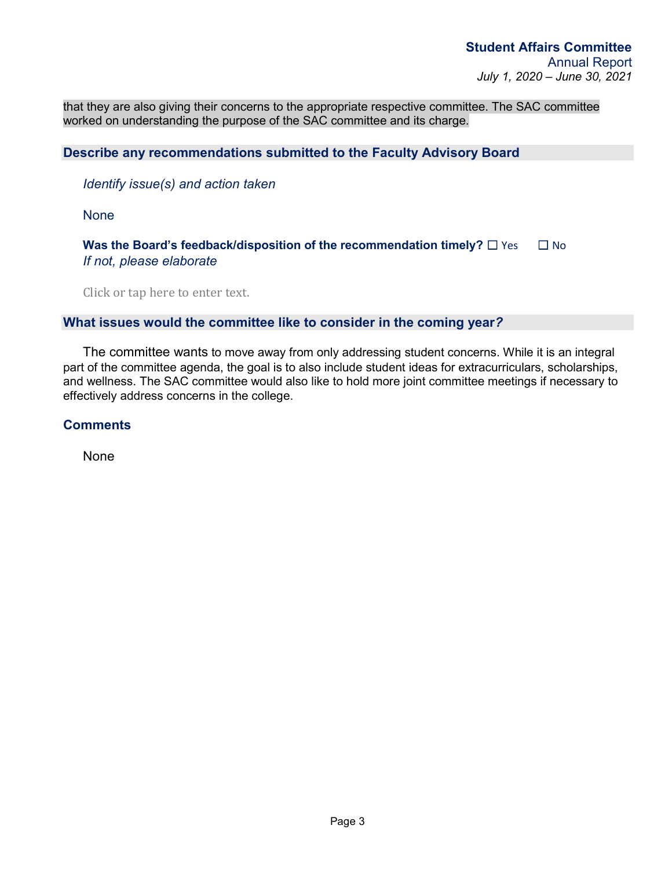that they are also giving their concerns to the appropriate respective committee. The SAC committee worked on understanding the purpose of the SAC committee and its charge.

# **Describe any recommendations submitted to the Faculty Advisory Board**

*Identify issue(s) and action taken*

**None** 

**Was the Board's feedback/disposition of the recommendation timely?**  $\Box$  Yes  $\Box$  No *If not, please elaborate* 

Click or tap here to enter text.

## **What issues would the committee like to consider in the coming year***?*

The committee wants to move away from only addressing student concerns. While it is an integral part of the committee agenda, the goal is to also include student ideas for extracurriculars, scholarships, and wellness. The SAC committee would also like to hold more joint committee meetings if necessary to effectively address concerns in the college.

**Comments**

None